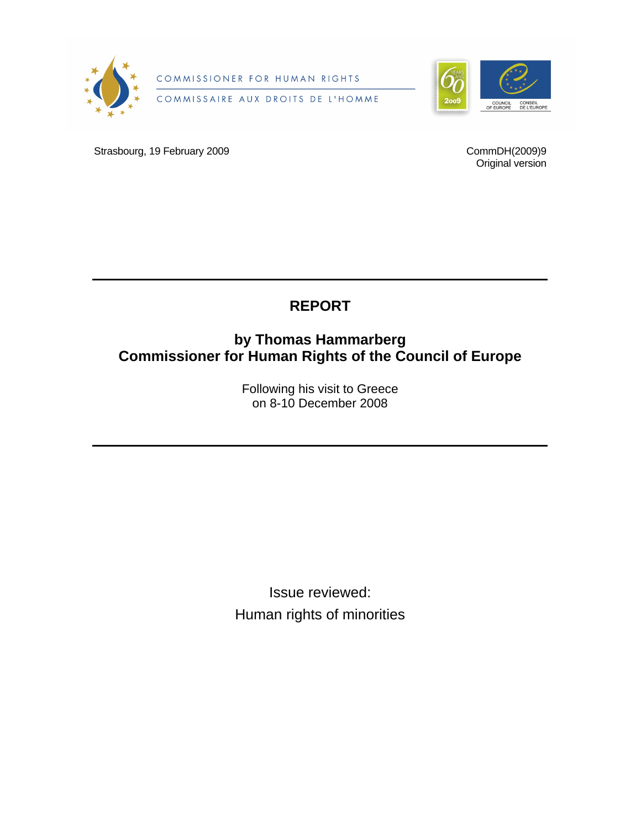

COMMISSIONER FOR HUMAN RIGHTS

COMMISSAIRE AUX DROITS DE L'HOMME



Strasbourg, 19 February 2009

CommDH(2009)9 Original version

# **REPORT**

## **by Thomas Hammarberg Commissioner for Human Rights of the Council of Europe**

Following his visit to Greece on 8-10 December 2008

Issue reviewed: Human rights of minorities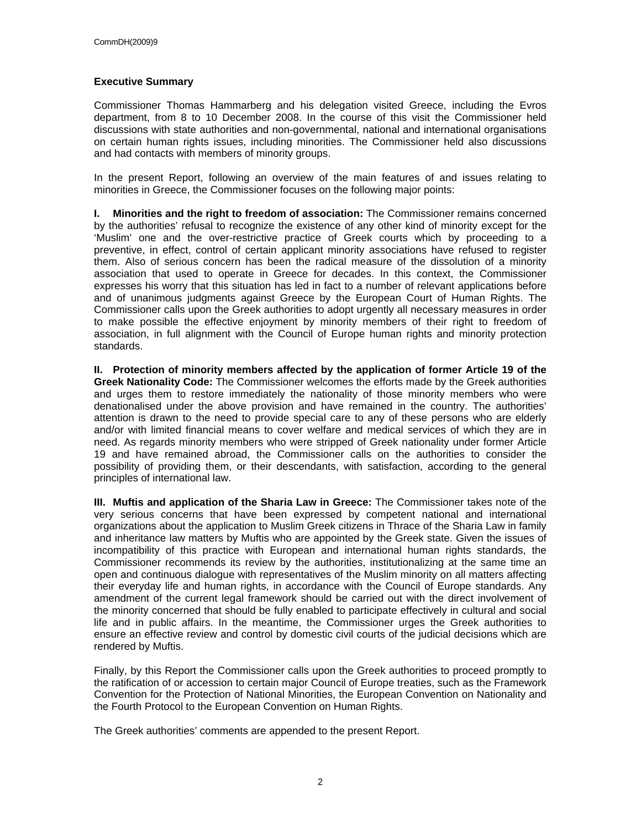#### **Executive Summary**

Commissioner Thomas Hammarberg and his delegation visited Greece, including the Evros department, from 8 to 10 December 2008. In the course of this visit the Commissioner held discussions with state authorities and non-governmental, national and international organisations on certain human rights issues, including minorities. The Commissioner held also discussions and had contacts with members of minority groups.

In the present Report, following an overview of the main features of and issues relating to minorities in Greece, the Commissioner focuses on the following major points:

**I. Minorities and the right to freedom of association:** The Commissioner remains concerned by the authorities' refusal to recognize the existence of any other kind of minority except for the 'Muslim' one and the over-restrictive practice of Greek courts which by proceeding to a preventive, in effect, control of certain applicant minority associations have refused to register them. Also of serious concern has been the radical measure of the dissolution of a minority association that used to operate in Greece for decades. In this context, the Commissioner expresses his worry that this situation has led in fact to a number of relevant applications before and of unanimous judgments against Greece by the European Court of Human Rights. The Commissioner calls upon the Greek authorities to adopt urgently all necessary measures in order to make possible the effective enjoyment by minority members of their right to freedom of association, in full alignment with the Council of Europe human rights and minority protection standards.

**II. Protection of minority members affected by the application of former Article 19 of the Greek Nationality Code:** The Commissioner welcomes the efforts made by the Greek authorities and urges them to restore immediately the nationality of those minority members who were denationalised under the above provision and have remained in the country. The authorities' attention is drawn to the need to provide special care to any of these persons who are elderly and/or with limited financial means to cover welfare and medical services of which they are in need. As regards minority members who were stripped of Greek nationality under former Article 19 and have remained abroad, the Commissioner calls on the authorities to consider the possibility of providing them, or their descendants, with satisfaction, according to the general principles of international law.

**III. Muftis and application of the Sharia Law in Greece:** The Commissioner takes note of the very serious concerns that have been expressed by competent national and international organizations about the application to Muslim Greek citizens in Thrace of the Sharia Law in family and inheritance law matters by Muftis who are appointed by the Greek state. Given the issues of incompatibility of this practice with European and international human rights standards, the Commissioner recommends its review by the authorities, institutionalizing at the same time an open and continuous dialogue with representatives of the Muslim minority on all matters affecting their everyday life and human rights, in accordance with the Council of Europe standards. Any amendment of the current legal framework should be carried out with the direct involvement of the minority concerned that should be fully enabled to participate effectively in cultural and social life and in public affairs. In the meantime, the Commissioner urges the Greek authorities to ensure an effective review and control by domestic civil courts of the judicial decisions which are rendered by Muftis.

Finally, by this Report the Commissioner calls upon the Greek authorities to proceed promptly to the ratification of or accession to certain major Council of Europe treaties, such as the Framework Convention for the Protection of National Minorities, the European Convention on Nationality and the Fourth Protocol to the European Convention on Human Rights.

The Greek authorities' comments are appended to the present Report.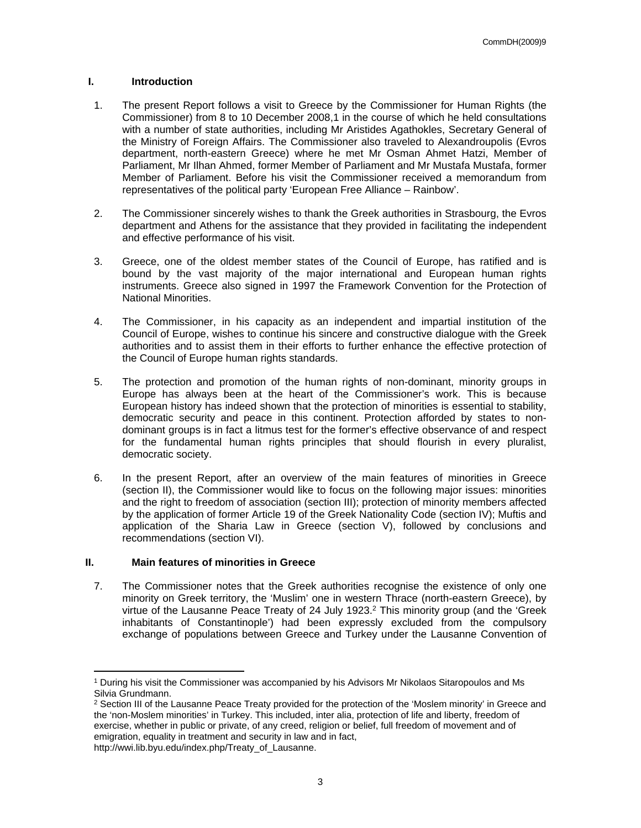#### **I. Introduction**

- 1. The present Report follows a visit to Greece by the Commissioner for Human Rights (the Commissioner) from 8 to 10 December 2008,1 in the course of which he held consultations with a number of state authorities, including Mr Aristides Agathokles, Secretary General of the Ministry of Foreign Affairs. The Commissioner also traveled to Alexandroupolis (Evros department, north-eastern Greece) where he met Mr Osman Ahmet Hatzi, Member of Parliament, Mr Ilhan Ahmed, former Member of Parliament and Mr Mustafa Mustafa, former Member of Parliament. Before his visit the Commissioner received a memorandum from representatives of the political party 'European Free Alliance – Rainbow'.
- 2. The Commissioner sincerely wishes to thank the Greek authorities in Strasbourg, the Evros department and Athens for the assistance that they provided in facilitating the independent and effective performance of his visit.
- 3. Greece, one of the oldest member states of the Council of Europe, has ratified and is bound by the vast majority of the major international and European human rights instruments. Greece also signed in 1997 the Framework Convention for the Protection of National Minorities.
- 4. The Commissioner, in his capacity as an independent and impartial institution of the Council of Europe, wishes to continue his sincere and constructive dialogue with the Greek authorities and to assist them in their efforts to further enhance the effective protection of the Council of Europe human rights standards.
- 5. The protection and promotion of the human rights of non-dominant, minority groups in Europe has always been at the heart of the Commissioner's work. This is because European history has indeed shown that the protection of minorities is essential to stability, democratic security and peace in this continent. Protection afforded by states to nondominant groups is in fact a litmus test for the former's effective observance of and respect for the fundamental human rights principles that should flourish in every pluralist, democratic society.
- 6. In the present Report, after an overview of the main features of minorities in Greece (section II), the Commissioner would like to focus on the following major issues: minorities and the right to freedom of association (section III); protection of minority members affected by the application of former Article 19 of the Greek Nationality Code (section IV); Muftis and application of the Sharia Law in Greece (section V), followed by conclusions and recommendations (section VI).

#### **II. Main features of minorities in Greece**

7. The Commissioner notes that the Greek authorities recognise the existence of only one minority on Greek territory, the 'Muslim' one in western Thrace (north-eastern Greece), by virtue of the Lausanne Peace Treaty of 24 July 1923.<sup>2</sup> This minority group (and the 'Greek inhabitants of Constantinople') had been expressly excluded from the compulsory exchange of populations between Greece and Turkey under the Lausanne Convention of

<sup>1</sup> During his visit the Commissioner was accompanied by his Advisors Mr Nikolaos Sitaropoulos and Ms Silvia Grundmann.

<sup>&</sup>lt;sup>2</sup> Section III of the Lausanne Peace Treaty provided for the protection of the 'Moslem minority' in Greece and the 'non-Moslem minorities' in Turkey. This included, inter alia, protection of life and liberty, freedom of exercise, whether in public or private, of any creed, religion or belief, full freedom of movement and of emigration, equality in treatment and security in law and in fact,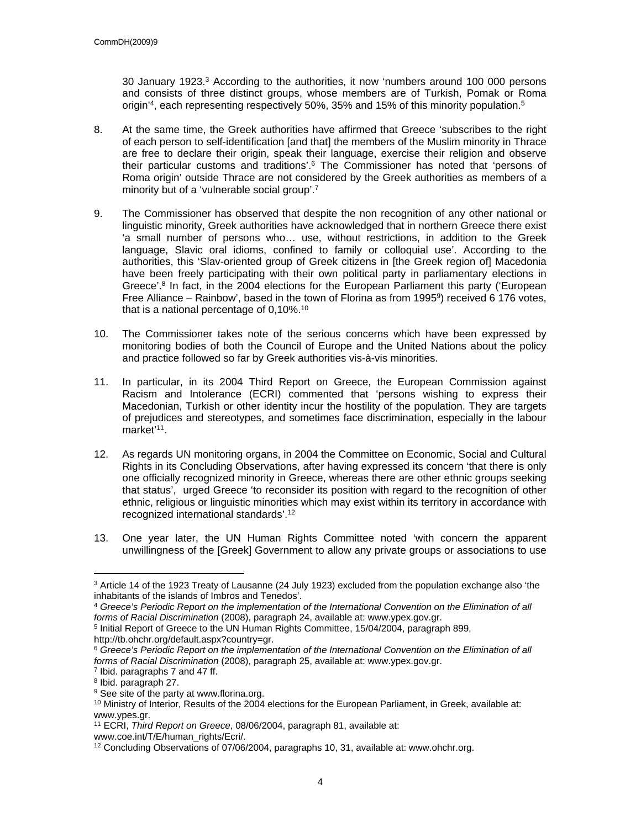30 January 1923.<sup>3</sup> According to the authorities, it now 'numbers around 100 000 persons and consists of three distinct groups, whose members are of Turkish, Pomak or Roma origin'<sup>4</sup>, each representing respectively 50%, 35% and 15% of this minority population.<sup>5</sup>

- 8. At the same time, the Greek authorities have affirmed that Greece 'subscribes to the right of each person to self-identification [and that] the members of the Muslim minority in Thrace are free to declare their origin, speak their language, exercise their religion and observe their particular customs and traditions'.<sup>6</sup> The Commissioner has noted that 'persons of Roma origin' outside Thrace are not considered by the Greek authorities as members of a minority but of a 'vulnerable social group'.<sup>7</sup>
- 9. The Commissioner has observed that despite the non recognition of any other national or linguistic minority, Greek authorities have acknowledged that in northern Greece there exist 'a small number of persons who… use, without restrictions, in addition to the Greek language, Slavic oral idioms, confined to family or colloquial use'. According to the authorities, this 'Slav-oriented group of Greek citizens in [the Greek region of] Macedonia have been freely participating with their own political party in parliamentary elections in Greece'.<sup>8</sup> In fact, in the 2004 elections for the European Parliament this party ('European Free Alliance – Rainbow', based in the town of Florina as from 1995<sup>9</sup>) received 6 176 votes, that is a national percentage of 0,10%.<sup>10</sup>
- 10. The Commissioner takes note of the serious concerns which have been expressed by monitoring bodies of both the Council of Europe and the United Nations about the policy and practice followed so far by Greek authorities vis-à-vis minorities.
- 11. In particular, in its 2004 Third Report on Greece, the European Commission against Racism and Intolerance (ECRI) commented that 'persons wishing to express their Macedonian, Turkish or other identity incur the hostility of the population. They are targets of prejudices and stereotypes, and sometimes face discrimination, especially in the labour market'<sup>11</sup>.
- 12. As regards UN monitoring organs, in 2004 the Committee on Economic, Social and Cultural Rights in its Concluding Observations, after having expressed its concern 'that there is only one officially recognized minority in Greece, whereas there are other ethnic groups seeking that status', urged Greece 'to reconsider its position with regard to the recognition of other ethnic, religious or linguistic minorities which may exist within its territory in accordance with recognized international standards'.<sup>12</sup>
- 13. One year later, the UN Human Rights Committee noted 'with concern the apparent unwillingness of the [Greek] Government to allow any private groups or associations to use

<sup>&</sup>lt;sup>3</sup> Article 14 of the 1923 Treaty of Lausanne (24 July 1923) excluded from the population exchange also 'the inhabitants of the islands of Imbros and Tenedos'.

<sup>4</sup> *Greece's Periodic Report on the implementation of the International Convention on the Elimination of all forms of Racial Discrimination* (2008), paragraph 24, available at: www.ypex.gov.gr.

<sup>&</sup>lt;sup>5</sup> Initial Report of Greece to the UN Human Rights Committee, 15/04/2004, paragraph 899, http://tb.ohchr.org/default.aspx?country=gr.

<sup>6</sup> *Greece's Periodic Report on the implementation of the International Convention on the Elimination of all forms of Racial Discrimination* (2008), paragraph 25, available at: www.ypex.gov.gr.

<sup>&</sup>lt;sup>7</sup> Ibid. paragraphs 7 and 47 ff.

<sup>8</sup> Ibid. paragraph 27.

<sup>&</sup>lt;sup>9</sup> See site of the party at www.florina.org.

 $10$  Ministry of Interior, Results of the 2004 elections for the European Parliament, in Greek, available at: www.ypes.gr.

<sup>11</sup> ECRI, *Third Report on Greece*, 08/06/2004, paragraph 81, available at:

www.coe.int/T/E/human\_rights/Ecri/.

<sup>12</sup> Concluding Observations of 07/06/2004, paragraphs 10, 31, available at: www.ohchr.org.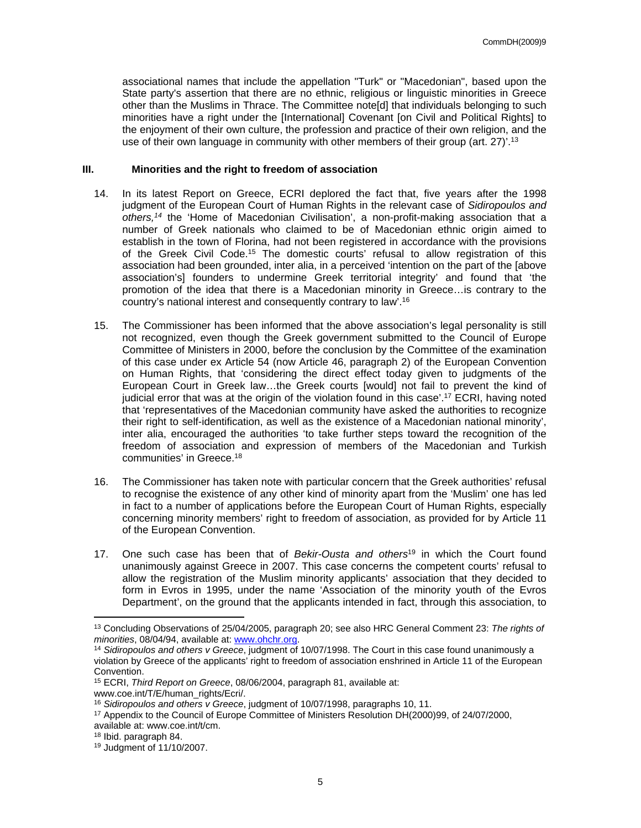associational names that include the appellation "Turk" or "Macedonian", based upon the State party's assertion that there are no ethnic, religious or linguistic minorities in Greece other than the Muslims in Thrace. The Committee note[d] that individuals belonging to such minorities have a right under the [International] Covenant [on Civil and Political Rights] to the enjoyment of their own culture, the profession and practice of their own religion, and the use of their own language in community with other members of their group (art. 27)'.<sup>13</sup>

#### **III. Minorities and the right to freedom of association**

- 14. In its latest Report on Greece, ECRI deplored the fact that, five years after the 1998 judgment of the European Court of Human Rights in the relevant case of *Sidiropoulos and others,<sup>14</sup>* the 'Home of Macedonian Civilisation', a non-profit-making association that a number of Greek nationals who claimed to be of Macedonian ethnic origin aimed to establish in the town of Florina, had not been registered in accordance with the provisions of the Greek Civil Code.<sup>15</sup> The domestic courts' refusal to allow registration of this association had been grounded, inter alia, in a perceived 'intention on the part of the [above association's] founders to undermine Greek territorial integrity' and found that 'the promotion of the idea that there is a Macedonian minority in Greece…is contrary to the country's national interest and consequently contrary to law'.<sup>16</sup>
- 15. The Commissioner has been informed that the above association's legal personality is still not recognized, even though the Greek government submitted to the Council of Europe Committee of Ministers in 2000, before the conclusion by the Committee of the examination of this case under ex Article 54 (now Article 46, paragraph 2) of the European Convention on Human Rights, that 'considering the direct effect today given to judgments of the European Court in Greek law…the Greek courts [would] not fail to prevent the kind of judicial error that was at the origin of the violation found in this case'.<sup>17</sup> ECRI, having noted that 'representatives of the Macedonian community have asked the authorities to recognize their right to self-identification, as well as the existence of a Macedonian national minority', inter alia, encouraged the authorities 'to take further steps toward the recognition of the freedom of association and expression of members of the Macedonian and Turkish communities' in Greece.<sup>18</sup>
- 16. The Commissioner has taken note with particular concern that the Greek authorities' refusal to recognise the existence of any other kind of minority apart from the 'Muslim' one has led in fact to a number of applications before the European Court of Human Rights, especially concerning minority members' right to freedom of association, as provided for by Article 11 of the European Convention.
- 17. One such case has been that of *Bekir-Ousta and others*<sup>19</sup> in which the Court found unanimously against Greece in 2007. This case concerns the competent courts' refusal to allow the registration of the Muslim minority applicants' association that they decided to form in Evros in 1995, under the name 'Association of the minority youth of the Evros Department', on the ground that the applicants intended in fact, through this association, to

<sup>13</sup> Concluding Observations of 25/04/2005, paragraph 20; see also HRC General Comment 23: *The rights of minorities*, 08/04/94, available at: [www.ohchr.org.](http://www.ohchr.org)

<sup>&</sup>lt;sup>14</sup> Sidiropoulos and others v Greece, judgment of 10/07/1998. The Court in this case found unanimously a violation by Greece of the applicants' right to freedom of association enshrined in Article 11 of the European Convention.

<sup>15</sup> ECRI, *Third Report on Greece*, 08/06/2004, paragraph 81, available at:

www.coe.int/T/E/human\_rights/Ecri/.

<sup>16</sup> *Sidiropoulos and others v Greece*, judgment of 10/07/1998, paragraphs 10, 11.

<sup>17</sup> Appendix to the Council of Europe Committee of Ministers Resolution DH(2000)99, of 24/07/2000, available at: www.coe.int/t/cm.

<sup>18</sup> Ibid. paragraph 84.

<sup>19</sup> Judgment of 11/10/2007.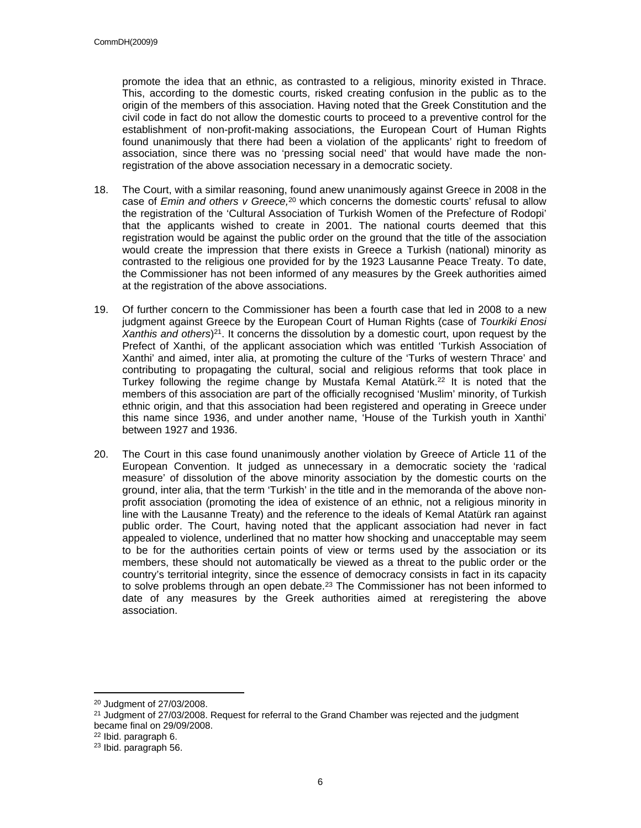promote the idea that an ethnic, as contrasted to a religious, minority existed in Thrace. This, according to the domestic courts, risked creating confusion in the public as to the origin of the members of this association. Having noted that the Greek Constitution and the civil code in fact do not allow the domestic courts to proceed to a preventive control for the establishment of non-profit-making associations, the European Court of Human Rights found unanimously that there had been a violation of the applicants' right to freedom of association, since there was no 'pressing social need' that would have made the nonregistration of the above association necessary in a democratic society.

- 18. The Court, with a similar reasoning, found anew unanimously against Greece in 2008 in the case of *Emin and others v Greece,*<sup>20</sup> which concerns the domestic courts' refusal to allow the registration of the 'Cultural Association of Turkish Women of the Prefecture of Rodopi' that the applicants wished to create in 2001. The national courts deemed that this registration would be against the public order on the ground that the title of the association would create the impression that there exists in Greece a Turkish (national) minority as contrasted to the religious one provided for by the 1923 Lausanne Peace Treaty. To date, the Commissioner has not been informed of any measures by the Greek authorities aimed at the registration of the above associations.
- 19. Of further concern to the Commissioner has been a fourth case that led in 2008 to a new judgment against Greece by the European Court of Human Rights (case of *Tourkiki Enosi Xanthis and others*) <sup>21</sup>. It concerns the dissolution by a domestic court, upon request by the Prefect of Xanthi, of the applicant association which was entitled 'Turkish Association of Xanthi' and aimed, inter alia, at promoting the culture of the 'Turks of western Thrace' and contributing to propagating the cultural, social and religious reforms that took place in Turkey following the regime change by Mustafa Kemal Atatürk.<sup>22</sup> It is noted that the members of this association are part of the officially recognised 'Muslim' minority, of Turkish ethnic origin, and that this association had been registered and operating in Greece under this name since 1936, and under another name, 'House of the Turkish youth in Xanthi' between 1927 and 1936.
- 20. The Court in this case found unanimously another violation by Greece of Article 11 of the European Convention. It judged as unnecessary in a democratic society the 'radical measure' of dissolution of the above minority association by the domestic courts on the ground, inter alia, that the term 'Turkish' in the title and in the memoranda of the above nonprofit association (promoting the idea of existence of an ethnic, not a religious minority in line with the Lausanne Treaty) and the reference to the ideals of Kemal Atatürk ran against public order. The Court, having noted that the applicant association had never in fact appealed to violence, underlined that no matter how shocking and unacceptable may seem to be for the authorities certain points of view or terms used by the association or its members, these should not automatically be viewed as a threat to the public order or the country's territorial integrity, since the essence of democracy consists in fact in its capacity to solve problems through an open debate.<sup>23</sup> The Commissioner has not been informed to date of any measures by the Greek authorities aimed at reregistering the above association.

<sup>20</sup> Judgment of 27/03/2008.

<sup>&</sup>lt;sup>21</sup> Judgment of 27/03/2008. Request for referral to the Grand Chamber was rejected and the judgment became final on 29/09/2008.

<sup>22</sup> Ibid. paragraph 6.

<sup>23</sup> Ibid. paragraph 56.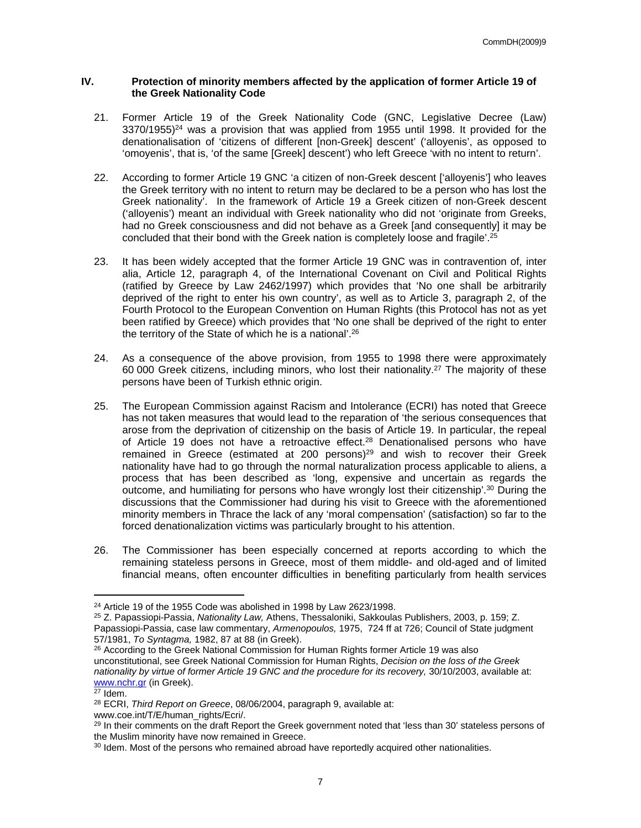#### **IV. Protection of minority members affected by the application of former Article 19 of the Greek Nationality Code**

- 21. Former Article 19 of the Greek Nationality Code (GNC, Legislative Decree (Law)  $3370/1955$ <sup>24</sup> was a provision that was applied from 1955 until 1998. It provided for the denationalisation of 'citizens of different [non-Greek] descent' ('alloyenis', as opposed to 'omoyenis', that is, 'of the same [Greek] descent') who left Greece 'with no intent to return'.
- 22. According to former Article 19 GNC 'a citizen of non-Greek descent ['alloyenis'] who leaves the Greek territory with no intent to return may be declared to be a person who has lost the Greek nationality'. In the framework of Article 19 a Greek citizen of non-Greek descent ('alloyenis') meant an individual with Greek nationality who did not 'originate from Greeks, had no Greek consciousness and did not behave as a Greek [and consequently] it may be concluded that their bond with the Greek nation is completely loose and fragile'.<sup>25</sup>
- 23. It has been widely accepted that the former Article 19 GNC was in contravention of, inter alia, Article 12, paragraph 4, of the International Covenant on Civil and Political Rights (ratified by Greece by Law 2462/1997) which provides that 'No one shall be arbitrarily deprived of the right to enter his own country', as well as to Article 3, paragraph 2, of the Fourth Protocol to the European Convention on Human Rights (this Protocol has not as yet been ratified by Greece) which provides that 'No one shall be deprived of the right to enter the territory of the State of which he is a national'.<sup>26</sup>
- 24. As a consequence of the above provision, from 1955 to 1998 there were approximately 60 000 Greek citizens, including minors, who lost their nationality.<sup>27</sup> The majority of these persons have been of Turkish ethnic origin.
- 25. The European Commission against Racism and Intolerance (ECRI) has noted that Greece has not taken measures that would lead to the reparation of 'the serious consequences that arose from the deprivation of citizenship on the basis of Article 19. In particular, the repeal of Article 19 does not have a retroactive effect.<sup>28</sup> Denationalised persons who have remained in Greece (estimated at 200 persons)<sup>29</sup> and wish to recover their Greek nationality have had to go through the normal naturalization process applicable to aliens, a process that has been described as 'long, expensive and uncertain as regards the outcome, and humiliating for persons who have wrongly lost their citizenship'.<sup>30</sup> During the discussions that the Commissioner had during his visit to Greece with the aforementioned minority members in Thrace the lack of any 'moral compensation' (satisfaction) so far to the forced denationalization victims was particularly brought to his attention.
- 26. The Commissioner has been especially concerned at reports according to which the remaining stateless persons in Greece, most of them middle- and old-aged and of limited financial means, often encounter difficulties in benefiting particularly from health services

<sup>26</sup> According to the Greek National Commission for Human Rights former Article 19 was also unconstitutional, see Greek National Commission for Human Rights, *Decision on the loss of the Greek nationality by virtue of former Article 19 GNC and the procedure for its recovery,* 30/10/2003, available at: [www.nchr.gr](http://www.nchr.gr) (in Greek).

 $24$  Article 19 of the 1955 Code was abolished in 1998 by Law 2623/1998.

<sup>25</sup> Z. Papassiopi-Passia, *Nationality Law,* Athens, Thessaloniki, Sakkoulas Publishers, 2003, p. 159; Z. Papassiopi-Passia, case law commentary, *Armenopoulos,* 1975, 724 ff at 726; Council of State judgment 57/1981, *To Syntagma,* 1982, 87 at 88 (in Greek).

 $27$  Idem.

<sup>28</sup> ECRI, *Third Report on Greece*, 08/06/2004, paragraph 9, available at:

www.coe.int/T/E/human\_rights/Ecri/.

<sup>&</sup>lt;sup>29</sup> In their comments on the draft Report the Greek government noted that 'less than 30' stateless persons of the Muslim minority have now remained in Greece.

<sup>&</sup>lt;sup>30</sup> Idem. Most of the persons who remained abroad have reportedly acquired other nationalities.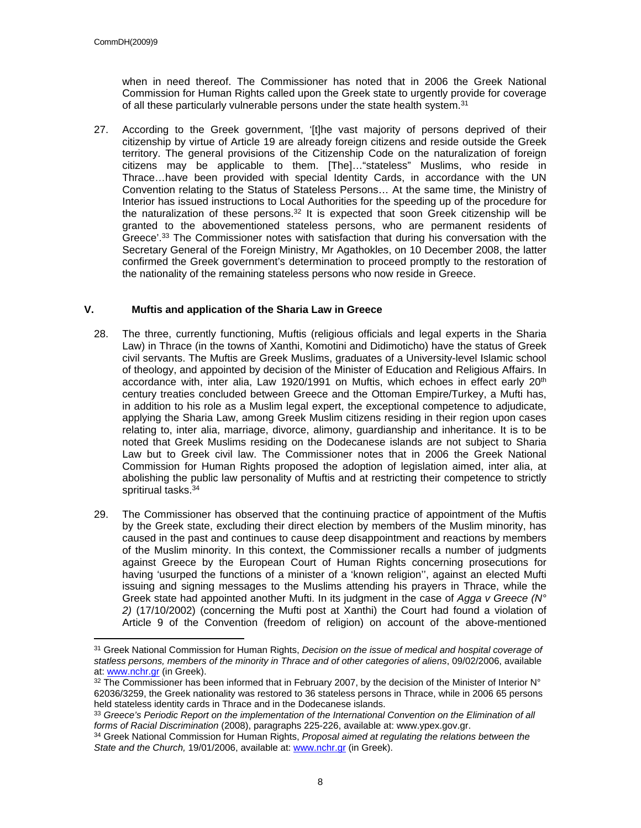when in need thereof. The Commissioner has noted that in 2006 the Greek National Commission for Human Rights called upon the Greek state to urgently provide for coverage of all these particularly vulnerable persons under the state health system.<sup>31</sup>

27. According to the Greek government, '[t]he vast majority of persons deprived of their citizenship by virtue of Article 19 are already foreign citizens and reside outside the Greek territory. The general provisions of the Citizenship Code on the naturalization of foreign citizens may be applicable to them. [The]…"stateless" Muslims, who reside in Thrace…have been provided with special Identity Cards, in accordance with the UN Convention relating to the Status of Stateless Persons… At the same time, the Ministry of Interior has issued instructions to Local Authorities for the speeding up of the procedure for the naturalization of these persons.<sup>32</sup> It is expected that soon Greek citizenship will be granted to the abovementioned stateless persons, who are permanent residents of Greece'.<sup>33</sup> The Commissioner notes with satisfaction that during his conversation with the Secretary General of the Foreign Ministry, Mr Agathokles, on 10 December 2008, the latter confirmed the Greek government's determination to proceed promptly to the restoration of the nationality of the remaining stateless persons who now reside in Greece.

#### **V. Muftis and application of the Sharia Law in Greece**

- 28. The three, currently functioning, Muftis (religious officials and legal experts in the Sharia Law) in Thrace (in the towns of Xanthi, Komotini and Didimoticho) have the status of Greek civil servants. The Muftis are Greek Muslims, graduates of a University-level Islamic school of theology, and appointed by decision of the Minister of Education and Religious Affairs. In accordance with, inter alia, Law 1920/1991 on Muftis, which echoes in effect early  $20<sup>th</sup>$ century treaties concluded between Greece and the Ottoman Empire/Turkey, a Mufti has, in addition to his role as a Muslim legal expert, the exceptional competence to adjudicate, applying the Sharia Law, among Greek Muslim citizens residing in their region upon cases relating to, inter alia, marriage, divorce, alimony, guardianship and inheritance. It is to be noted that Greek Muslims residing on the Dodecanese islands are not subject to Sharia Law but to Greek civil law. The Commissioner notes that in 2006 the Greek National Commission for Human Rights proposed the adoption of legislation aimed, inter alia, at abolishing the public law personality of Muftis and at restricting their competence to strictly spritirual tasks.<sup>34</sup>
- 29. The Commissioner has observed that the continuing practice of appointment of the Muftis by the Greek state, excluding their direct election by members of the Muslim minority, has caused in the past and continues to cause deep disappointment and reactions by members of the Muslim minority. In this context, the Commissioner recalls a number of judgments against Greece by the European Court of Human Rights concerning prosecutions for having 'usurped the functions of a minister of a 'known religion'', against an elected Mufti issuing and signing messages to the Muslims attending his prayers in Thrace, while the Greek state had appointed another Mufti. In its judgment in the case of *Agga v Greece (N° 2)* (17/10/2002) (concerning the Mufti post at Xanthi) the Court had found a violation of Article 9 of the Convention (freedom of religion) on account of the above-mentioned

<sup>31</sup> Greek National Commission for Human Rights, *Decision on the issue of medical and hospital coverage of statless persons, members of the minority in Thrace and of other categories of aliens*, 09/02/2006, available at: [www.nchr.gr](http://www.nchr.gr) (in Greek).

 $32$  The Commissioner has been informed that in February 2007, by the decision of the Minister of Interior N° 62036/3259, the Greek nationality was restored to 36 stateless persons in Thrace, while in 2006 65 persons held stateless identity cards in Thrace and in the Dodecanese islands.

<sup>33</sup> *Greece's Periodic Report on the implementation of the International Convention on the Elimination of all forms of Racial Discrimination* (2008), paragraphs 225-226, available at: www.ypex.gov.gr.

<sup>34</sup> Greek National Commission for Human Rights, *Proposal aimed at regulating the relations between the State and the Church,* 19/01/2006, available at: [www.nchr.gr](http://www.nchr.gr) (in Greek).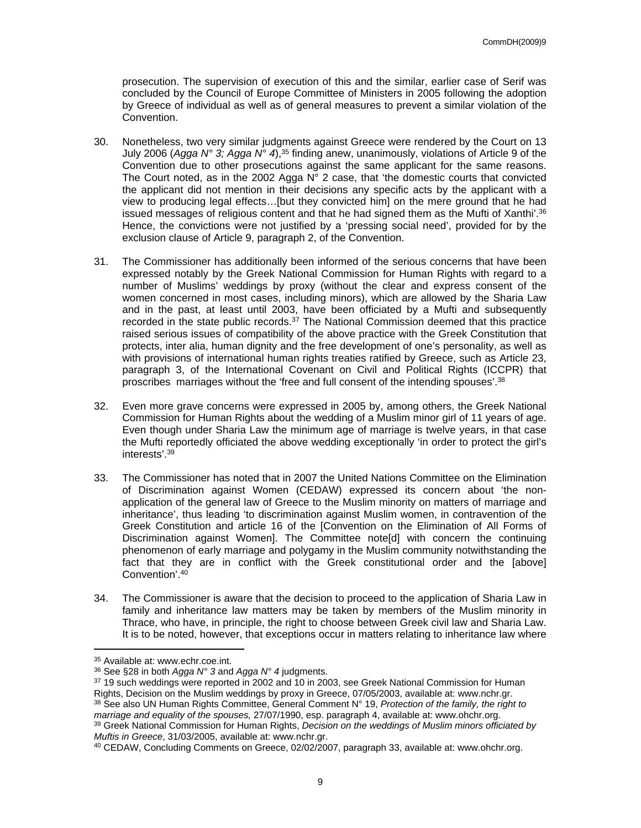prosecution. The supervision of execution of this and the similar, earlier case of Serif was concluded by the Council of Europe Committee of Ministers in 2005 following the adoption by Greece of individual as well as of general measures to prevent a similar violation of the Convention.

- 30. Nonetheless, two very similar judgments against Greece were rendered by the Court on 13 July 2006 (*Agga N° 3; Agga N° 4*),<sup>35</sup> finding anew, unanimously, violations of Article 9 of the Convention due to other prosecutions against the same applicant for the same reasons. The Court noted, as in the 2002 Agga N° 2 case, that 'the domestic courts that convicted the applicant did not mention in their decisions any specific acts by the applicant with a view to producing legal effects…[but they convicted him] on the mere ground that he had issued messages of religious content and that he had signed them as the Mufti of Xanthi'.<sup>36</sup> Hence, the convictions were not justified by a 'pressing social need', provided for by the exclusion clause of Article 9, paragraph 2, of the Convention.
- 31. The Commissioner has additionally been informed of the serious concerns that have been expressed notably by the Greek National Commission for Human Rights with regard to a number of Muslims' weddings by proxy (without the clear and express consent of the women concerned in most cases, including minors), which are allowed by the Sharia Law and in the past, at least until 2003, have been officiated by a Mufti and subsequently recorded in the state public records.<sup>37</sup> The National Commission deemed that this practice raised serious issues of compatibility of the above practice with the Greek Constitution that protects, inter alia, human dignity and the free development of one's personality, as well as with provisions of international human rights treaties ratified by Greece, such as Article 23, paragraph 3, of the International Covenant on Civil and Political Rights (ICCPR) that proscribes marriages without the 'free and full consent of the intending spouses'.<sup>38</sup>
- 32. Even more grave concerns were expressed in 2005 by, among others, the Greek National Commission for Human Rights about the wedding of a Muslim minor girl of 11 years of age. Even though under Sharia Law the minimum age of marriage is twelve years, in that case the Mufti reportedly officiated the above wedding exceptionally 'in order to protect the girl's interests'.<sup>39</sup>
- 33. The Commissioner has noted that in 2007 the United Nations Committee on the Elimination of Discrimination against Women (CEDAW) expressed its concern about 'the nonapplication of the general law of Greece to the Muslim minority on matters of marriage and inheritance', thus leading 'to discrimination against Muslim women, in contravention of the Greek Constitution and article 16 of the [Convention on the Elimination of All Forms of Discrimination against Women]. The Committee note[d] with concern the continuing phenomenon of early marriage and polygamy in the Muslim community notwithstanding the fact that they are in conflict with the Greek constitutional order and the [above] Convention'.<sup>40</sup>
- 34. The Commissioner is aware that the decision to proceed to the application of Sharia Law in family and inheritance law matters may be taken by members of the Muslim minority in Thrace, who have, in principle, the right to choose between Greek civil law and Sharia Law. It is to be noted, however, that exceptions occur in matters relating to inheritance law where

<sup>35</sup> Available at: www.echr.coe.int.

<sup>36</sup> See §28 in both *Agga N° 3* and *Agga N° 4* judgments.

<sup>37</sup> 19 such weddings were reported in 2002 and 10 in 2003, see Greek National Commission for Human

Rights, Decision on the Muslim weddings by proxy in Greece, 07/05/2003, available at: www.nchr.gr. <sup>38</sup> See also UN Human Rights Committee, General Comment N° 19, *Protection of the family, the right to marriage and equality of the spouses,* 27/07/1990, esp. paragraph 4, available at: www.ohchr.org.

<sup>39</sup> Greek National Commission for Human Rights, *Decision on the weddings of Muslim minors officiated by Muftis in Greece*, 31/03/2005, available at: www.nchr.gr.

<sup>40</sup> CEDAW, Concluding Comments on Greece, 02/02/2007, paragraph 33, available at: www.ohchr.org.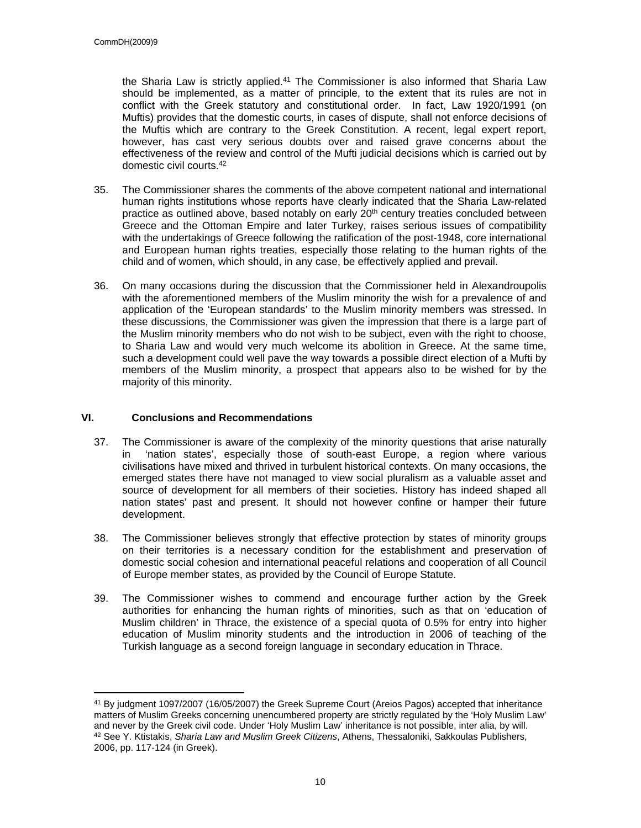the Sharia Law is strictly applied.<sup>41</sup> The Commissioner is also informed that Sharia Law should be implemented, as a matter of principle, to the extent that its rules are not in conflict with the Greek statutory and constitutional order. In fact, Law 1920/1991 (on Muftis) provides that the domestic courts, in cases of dispute, shall not enforce decisions of the Muftis which are contrary to the Greek Constitution. A recent, legal expert report, however, has cast very serious doubts over and raised grave concerns about the effectiveness of the review and control of the Mufti judicial decisions which is carried out by domestic civil courts.<sup>42</sup>

- 35. The Commissioner shares the comments of the above competent national and international human rights institutions whose reports have clearly indicated that the Sharia Law-related practice as outlined above, based notably on early 20<sup>th</sup> century treaties concluded between Greece and the Ottoman Empire and later Turkey, raises serious issues of compatibility with the undertakings of Greece following the ratification of the post-1948, core international and European human rights treaties, especially those relating to the human rights of the child and of women, which should, in any case, be effectively applied and prevail.
- 36. On many occasions during the discussion that the Commissioner held in Alexandroupolis with the aforementioned members of the Muslim minority the wish for a prevalence of and application of the 'European standards' to the Muslim minority members was stressed. In these discussions, the Commissioner was given the impression that there is a large part of the Muslim minority members who do not wish to be subject, even with the right to choose, to Sharia Law and would very much welcome its abolition in Greece. At the same time, such a development could well pave the way towards a possible direct election of a Mufti by members of the Muslim minority, a prospect that appears also to be wished for by the majority of this minority.

#### **VI. Conclusions and Recommendations**

- 37. The Commissioner is aware of the complexity of the minority questions that arise naturally in 'nation states', especially those of south-east Europe, a region where various civilisations have mixed and thrived in turbulent historical contexts. On many occasions, the emerged states there have not managed to view social pluralism as a valuable asset and source of development for all members of their societies. History has indeed shaped all nation states' past and present. It should not however confine or hamper their future development.
- 38. The Commissioner believes strongly that effective protection by states of minority groups on their territories is a necessary condition for the establishment and preservation of domestic social cohesion and international peaceful relations and cooperation of all Council of Europe member states, as provided by the Council of Europe Statute.
- 39. The Commissioner wishes to commend and encourage further action by the Greek authorities for enhancing the human rights of minorities, such as that on 'education of Muslim children' in Thrace, the existence of a special quota of 0.5% for entry into higher education of Muslim minority students and the introduction in 2006 of teaching of the Turkish language as a second foreign language in secondary education in Thrace.

<sup>&</sup>lt;sup>41</sup> By judgment 1097/2007 (16/05/2007) the Greek Supreme Court (Areios Pagos) accepted that inheritance matters of Muslim Greeks concerning unencumbered property are strictly regulated by the 'Holy Muslim Law' and never by the Greek civil code. Under 'Holy Muslim Law' inheritance is not possible, inter alia, by will. <sup>42</sup> See Y. Ktistakis, *Sharia Law and Muslim Greek Citizens*, Athens, Thessaloniki, Sakkoulas Publishers, 2006, pp. 117-124 (in Greek).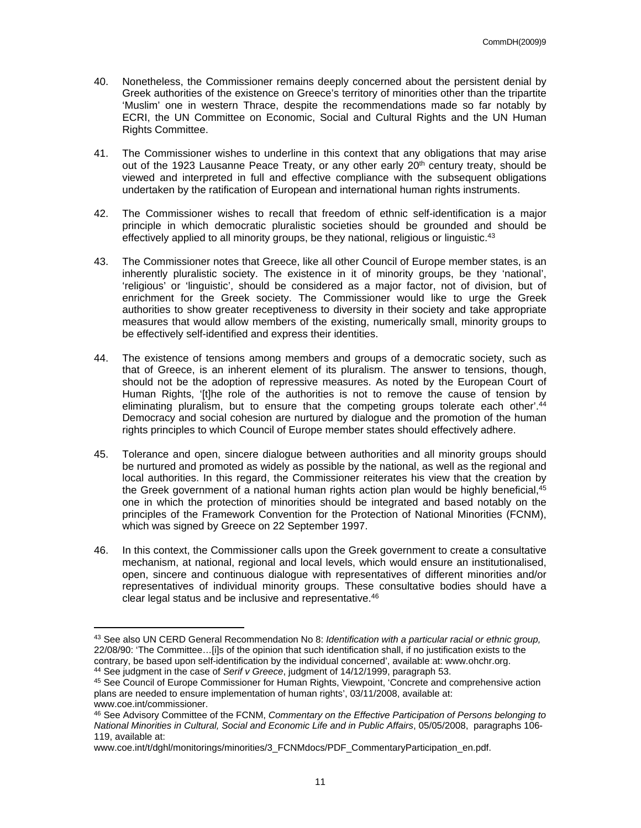- 40. Nonetheless, the Commissioner remains deeply concerned about the persistent denial by Greek authorities of the existence on Greece's territory of minorities other than the tripartite 'Muslim' one in western Thrace, despite the recommendations made so far notably by ECRI, the UN Committee on Economic, Social and Cultural Rights and the UN Human Rights Committee.
- 41. The Commissioner wishes to underline in this context that any obligations that may arise out of the 1923 Lausanne Peace Treaty, or any other early  $20<sup>th</sup>$  century treaty, should be viewed and interpreted in full and effective compliance with the subsequent obligations undertaken by the ratification of European and international human rights instruments.
- 42. The Commissioner wishes to recall that freedom of ethnic self-identification is a major principle in which democratic pluralistic societies should be grounded and should be effectively applied to all minority groups, be they national, religious or linguistic.<sup>43</sup>
- 43. The Commissioner notes that Greece, like all other Council of Europe member states, is an inherently pluralistic society. The existence in it of minority groups, be they 'national', 'religious' or 'linguistic', should be considered as a major factor, not of division, but of enrichment for the Greek society. The Commissioner would like to urge the Greek authorities to show greater receptiveness to diversity in their society and take appropriate measures that would allow members of the existing, numerically small, minority groups to be effectively self-identified and express their identities.
- 44. The existence of tensions among members and groups of a democratic society, such as that of Greece, is an inherent element of its pluralism. The answer to tensions, though, should not be the adoption of repressive measures. As noted by the European Court of Human Rights, '[t]he role of the authorities is not to remove the cause of tension by eliminating pluralism, but to ensure that the competing groups tolerate each other<sup>'.44</sup> Democracy and social cohesion are nurtured by dialogue and the promotion of the human rights principles to which Council of Europe member states should effectively adhere.
- 45. Tolerance and open, sincere dialogue between authorities and all minority groups should be nurtured and promoted as widely as possible by the national, as well as the regional and local authorities. In this regard, the Commissioner reiterates his view that the creation by the Greek government of a national human rights action plan would be highly beneficial, $45$ one in which the protection of minorities should be integrated and based notably on the principles of the Framework Convention for the Protection of National Minorities (FCNM), which was signed by Greece on 22 September 1997.
- 46. In this context, the Commissioner calls upon the Greek government to create a consultative mechanism, at national, regional and local levels, which would ensure an institutionalised, open, sincere and continuous dialogue with representatives of different minorities and/or representatives of individual minority groups. These consultative bodies should have a clear legal status and be inclusive and representative.<sup>46</sup>

<sup>43</sup> See also UN CERD General Recommendation No 8: *Identification with a particular racial or ethnic group,* 22/08/90: 'The Committee…[i]s of the opinion that such identification shall, if no justification exists to the contrary, be based upon self-identification by the individual concerned', available at: www.ohchr.org. <sup>44</sup> See judgment in the case of *Serif v Greece*, judgment of 14/12/1999, paragraph 53.

<sup>45</sup> See Council of Europe Commissioner for Human Rights, Viewpoint, 'Concrete and comprehensive action plans are needed to ensure implementation of human rights', 03/11/2008, available at: www.coe.int/commissioner.

<sup>46</sup> See Advisory Committee of the FCNM, *Commentary on the Effective Participation of Persons belonging to National Minorities in Cultural, Social and Economic Life and in Public Affairs*, 05/05/2008, paragraphs 106- 119, available at:

www.coe.int/t/dghl/monitorings/minorities/3\_FCNMdocs/PDF\_CommentaryParticipation\_en.pdf.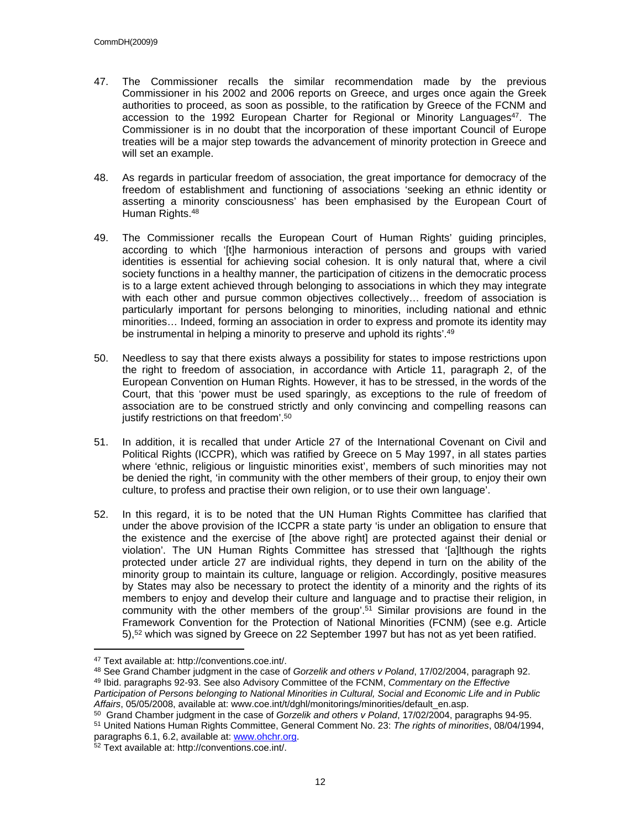- 47. The Commissioner recalls the similar recommendation made by the previous Commissioner in his 2002 and 2006 reports on Greece, and urges once again the Greek authorities to proceed, as soon as possible, to the ratification by Greece of the FCNM and accession to the 1992 European Charter for Regional or Minority Languages<sup>47</sup>. The Commissioner is in no doubt that the incorporation of these important Council of Europe treaties will be a major step towards the advancement of minority protection in Greece and will set an example.
- 48. As regards in particular freedom of association, the great importance for democracy of the freedom of establishment and functioning of associations 'seeking an ethnic identity or asserting a minority consciousness' has been emphasised by the European Court of Human Rights.<sup>48</sup>
- 49. The Commissioner recalls the European Court of Human Rights' guiding principles, according to which '[t]he harmonious interaction of persons and groups with varied identities is essential for achieving social cohesion. It is only natural that, where a civil society functions in a healthy manner, the participation of citizens in the democratic process is to a large extent achieved through belonging to associations in which they may integrate with each other and pursue common objectives collectively… freedom of association is particularly important for persons belonging to minorities, including national and ethnic minorities… Indeed, forming an association in order to express and promote its identity may be instrumental in helping a minority to preserve and uphold its rights'.<sup>49</sup>
- 50. Needless to say that there exists always a possibility for states to impose restrictions upon the right to freedom of association, in accordance with Article 11, paragraph 2, of the European Convention on Human Rights. However, it has to be stressed, in the words of the Court, that this 'power must be used sparingly, as exceptions to the rule of freedom of association are to be construed strictly and only convincing and compelling reasons can justify restrictions on that freedom'.<sup>50</sup>
- 51. In addition, it is recalled that under Article 27 of the International Covenant on Civil and Political Rights (ICCPR), which was ratified by Greece on 5 May 1997, in all states parties where 'ethnic, religious or linguistic minorities exist', members of such minorities may not be denied the right, 'in community with the other members of their group, to enjoy their own culture, to profess and practise their own religion, or to use their own language'.
- 52. In this regard, it is to be noted that the UN Human Rights Committee has clarified that under the above provision of the ICCPR a state party 'is under an obligation to ensure that the existence and the exercise of [the above right] are protected against their denial or violation'. The UN Human Rights Committee has stressed that '[a]lthough the rights protected under article 27 are individual rights, they depend in turn on the ability of the minority group to maintain its culture, language or religion. Accordingly, positive measures by States may also be necessary to protect the identity of a minority and the rights of its members to enjoy and develop their culture and language and to practise their religion, in community with the other members of the group'.<sup>51</sup> Similar provisions are found in the Framework Convention for the Protection of National Minorities (FCNM) (see e.g. Article 5),<sup>52</sup> which was signed by Greece on 22 September 1997 but has not as yet been ratified.

<sup>50</sup> Grand Chamber judgment in the case of *Gorzelik and others v Poland*, 17/02/2004, paragraphs 94-95. <sup>51</sup> United Nations Human Rights Committee, General Comment No. 23: *The rights of minorities*, 08/04/1994,

<sup>47</sup> Text available at: http://conventions.coe.int/.

<sup>48</sup> See Grand Chamber judgment in the case of *Gorzelik and others v Poland*, 17/02/2004, paragraph 92. <sup>49</sup> Ibid. paragraphs 92-93. See also Advisory Committee of the FCNM, *Commentary on the Effective* 

*Participation of Persons belonging to National Minorities in Cultural, Social and Economic Life and in Public Affairs*, 05/05/2008, available at: www.coe.int/t/dghl/monitorings/minorities/default\_en.asp.

paragraphs 6.1, 6.2, available at: [www.ohchr.org](http://www.ohchr.org). 52 Text available at: http://conventions.coe.int/.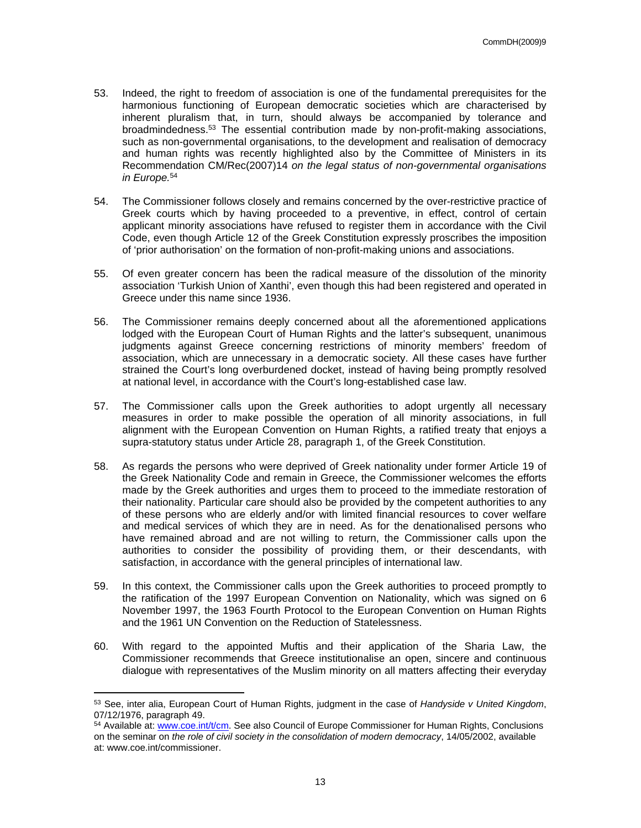- 53. Indeed, the right to freedom of association is one of the fundamental prerequisites for the harmonious functioning of European democratic societies which are characterised by inherent pluralism that, in turn, should always be accompanied by tolerance and broadmindedness.<sup>53</sup> The essential contribution made by non-profit-making associations, such as non-governmental organisations, to the development and realisation of democracy and human rights was recently highlighted also by the Committee of Ministers in its Recommendation CM/Rec(2007)14 *on the legal status of non-governmental organisations in Europe.*<sup>54</sup>
- 54. The Commissioner follows closely and remains concerned by the over-restrictive practice of Greek courts which by having proceeded to a preventive, in effect, control of certain applicant minority associations have refused to register them in accordance with the Civil Code, even though Article 12 of the Greek Constitution expressly proscribes the imposition of 'prior authorisation' on the formation of non-profit-making unions and associations.
- 55. Of even greater concern has been the radical measure of the dissolution of the minority association 'Turkish Union of Xanthi', even though this had been registered and operated in Greece under this name since 1936.
- 56. The Commissioner remains deeply concerned about all the aforementioned applications lodged with the European Court of Human Rights and the latter's subsequent, unanimous judgments against Greece concerning restrictions of minority members' freedom of association, which are unnecessary in a democratic society. All these cases have further strained the Court's long overburdened docket, instead of having being promptly resolved at national level, in accordance with the Court's long-established case law.
- 57. The Commissioner calls upon the Greek authorities to adopt urgently all necessary measures in order to make possible the operation of all minority associations, in full alignment with the European Convention on Human Rights, a ratified treaty that enjoys a supra-statutory status under Article 28, paragraph 1, of the Greek Constitution.
- 58. As regards the persons who were deprived of Greek nationality under former Article 19 of the Greek Nationality Code and remain in Greece, the Commissioner welcomes the efforts made by the Greek authorities and urges them to proceed to the immediate restoration of their nationality. Particular care should also be provided by the competent authorities to any of these persons who are elderly and/or with limited financial resources to cover welfare and medical services of which they are in need. As for the denationalised persons who have remained abroad and are not willing to return, the Commissioner calls upon the authorities to consider the possibility of providing them, or their descendants, with satisfaction, in accordance with the general principles of international law.
- 59. In this context, the Commissioner calls upon the Greek authorities to proceed promptly to the ratification of the 1997 European Convention on Nationality, which was signed on 6 November 1997, the 1963 Fourth Protocol to the European Convention on Human Rights and the 1961 UN Convention on the Reduction of Statelessness.
- 60. With regard to the appointed Muftis and their application of the Sharia Law, the Commissioner recommends that Greece institutionalise an open, sincere and continuous dialogue with representatives of the Muslim minority on all matters affecting their everyday

<sup>53</sup> See, inter alia, European Court of Human Rights, judgment in the case of *Handyside v United Kingdom*, 07/12/1976, paragraph 49.

<sup>54</sup> Available at: [www.coe.int/t/cm.](http://www.coe.int/t/cm) See also Council of Europe Commissioner for Human Rights, Conclusions on the seminar on *the role of civil society in the consolidation of modern democracy*, 14/05/2002, available at: www.coe.int/commissioner.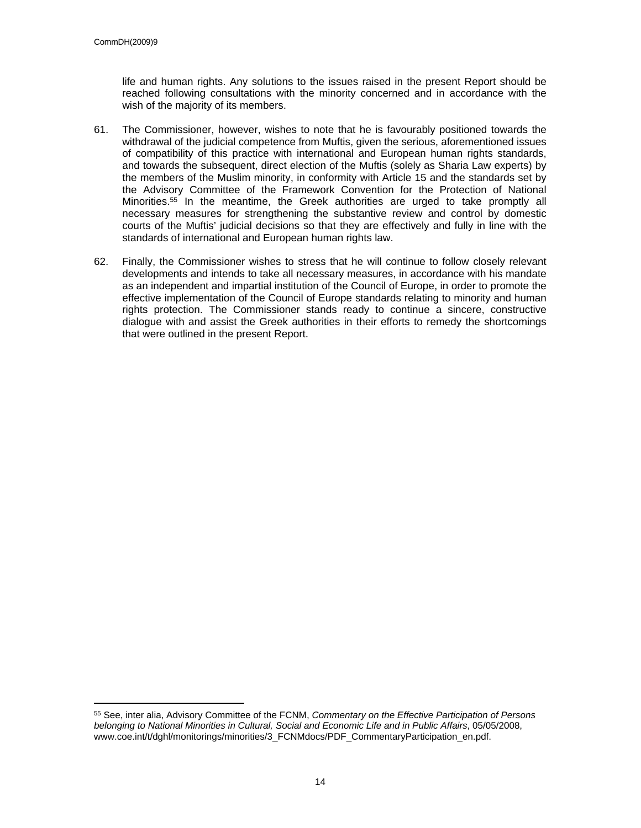life and human rights. Any solutions to the issues raised in the present Report should be reached following consultations with the minority concerned and in accordance with the wish of the majority of its members.

- 61. The Commissioner, however, wishes to note that he is favourably positioned towards the withdrawal of the judicial competence from Muftis, given the serious, aforementioned issues of compatibility of this practice with international and European human rights standards, and towards the subsequent, direct election of the Muftis (solely as Sharia Law experts) by the members of the Muslim minority, in conformity with Article 15 and the standards set by the Advisory Committee of the Framework Convention for the Protection of National Minorities.<sup>55</sup> In the meantime, the Greek authorities are urged to take promptly all necessary measures for strengthening the substantive review and control by domestic courts of the Muftis' judicial decisions so that they are effectively and fully in line with the standards of international and European human rights law.
- 62. Finally, the Commissioner wishes to stress that he will continue to follow closely relevant developments and intends to take all necessary measures, in accordance with his mandate as an independent and impartial institution of the Council of Europe, in order to promote the effective implementation of the Council of Europe standards relating to minority and human rights protection. The Commissioner stands ready to continue a sincere, constructive dialogue with and assist the Greek authorities in their efforts to remedy the shortcomings that were outlined in the present Report.

<sup>55</sup> See, inter alia, Advisory Committee of the FCNM, *Commentary on the Effective Participation of Persons belonging to National Minorities in Cultural, Social and Economic Life and in Public Affairs*, 05/05/2008, www.coe.int/t/dghl/monitorings/minorities/3\_FCNMdocs/PDF\_CommentaryParticipation\_en.pdf.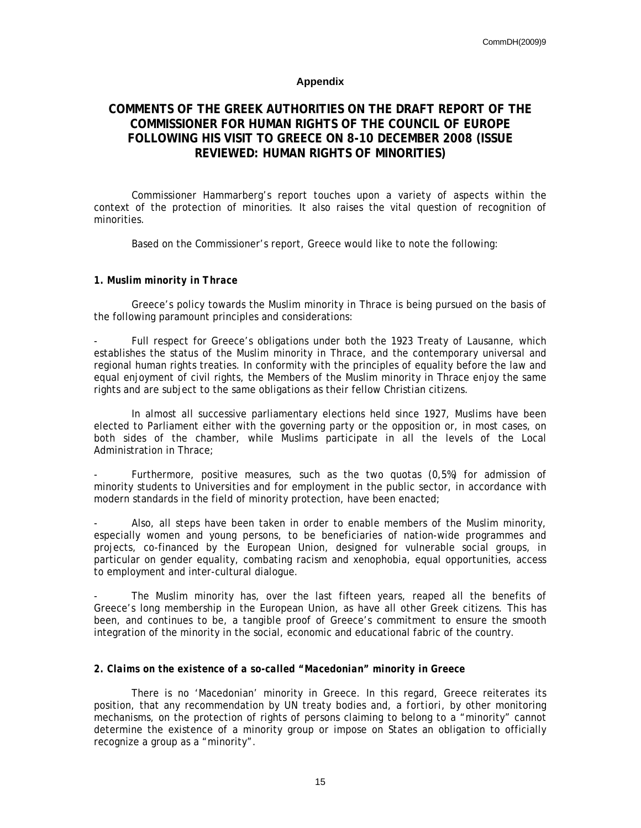#### **Appendix**

### **COMMENTS OF THE GREEK AUTHORITIES ON THE DRAFT REPORT OF THE COMMISSIONER FOR HUMAN RIGHTS OF THE COUNCIL OF EUROPE FOLLOWING HIS VISIT TO GREECE ON 8-10 DECEMBER 2008 (ISSUE REVIEWED: HUMAN RIGHTS OF MINORITIES)**

Commissioner Hammarberg's report touches upon a variety of aspects within the context of the protection of minorities. It also raises the vital question of recognition of minorities.

Based on the Commissioner's report, Greece would like to note the following:

#### *1. Muslim minority in Thrace*

Greece's policy towards the Muslim minority in Thrace is being pursued on the basis of the following paramount principles and considerations:

Full respect for Greece's obligations under both the 1923 Treaty of Lausanne, which establishes the status of the Muslim minority in Thrace, and the contemporary universal and regional human rights treaties. In conformity with the principles of equality before the law and equal enjoyment of civil rights, the Members of the Muslim minority in Thrace enjoy the same rights and are subject to the same obligations as their fellow Christian citizens.

In almost all successive parliamentary elections held since 1927, Muslims have been elected to Parliament either with the governing party or the opposition or, in most cases, on both sides of the chamber, while Muslims participate in all the levels of the Local Administration in Thrace;

Furthermore, positive measures, such as the two quotas (0,5%) for admission of minority students to Universities and for employment in the public sector, in accordance with modern standards in the field of minority protection, have been enacted;

Also, all steps have been taken in order to enable members of the Muslim minority, especially women and young persons, to be beneficiaries of nation-wide programmes and projects, co-financed by the European Union, designed for vulnerable social groups, in particular on gender equality, combating racism and xenophobia, equal opportunities, access to employment and inter-cultural dialogue.

The Muslim minority has, over the last fifteen years, reaped all the benefits of Greece's long membership in the European Union, as have all other Greek citizens. This has been, and continues to be, a tangible proof of Greece's commitment to ensure the smooth integration of the minority in the social, economic and educational fabric of the country.

#### *2. Claims on the existence of a so-called "Macedonian" minority in Greece*

There is no 'Macedonian' minority in Greece. In this regard, Greece reiterates its position, that any recommendation by UN treaty bodies and, *a fortiori*, by other monitoring mechanisms, on the protection of rights of persons claiming to belong to a "minority" cannot determine the existence of a minority group or impose on States an obligation to officially recognize a group as a "minority".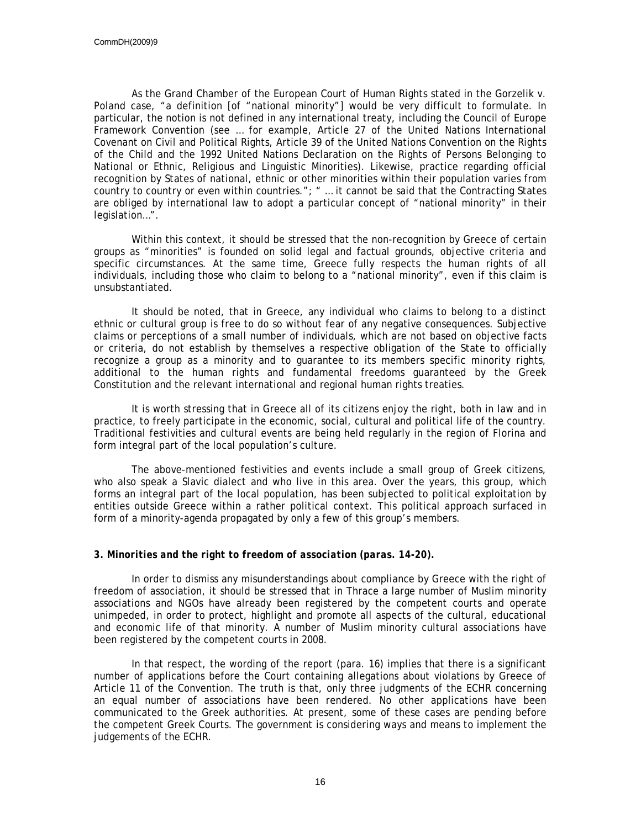As the Grand Chamber of the European Court of Human Rights stated in the Gorzelik v. Poland case, "a definition [of "national minority"] would be very difficult to formulate. In particular, the notion is not defined in any international treaty, including the Council of Europe Framework Convention (see … for example, Article 27 of the United Nations International Covenant on Civil and Political Rights, Article 39 of the United Nations Convention on the Rights of the Child and the 1992 United Nations Declaration on the Rights of Persons Belonging to National or Ethnic, Religious and Linguistic Minorities). Likewise, practice regarding official recognition by States of national, ethnic or other minorities within their population varies from country to country or even within countries."; " … it cannot be said that the Contracting States are obliged by international law to adopt a particular concept of "national minority" in their legislation…".

Within this context, it should be stressed that the non-recognition by Greece of certain groups as "minorities" is founded on solid legal and factual grounds, objective criteria and specific circumstances. At the same time, Greece fully respects the human rights of all individuals, including those who claim to belong to a "national minority", even if this claim is unsubstantiated.

It should be noted, that in Greece, any individual who claims to belong to a distinct ethnic or cultural group is free to do so without fear of any negative consequences. Subjective claims or perceptions of a small number of individuals, which are not based on objective facts or criteria, do not establish by themselves a respective obligation of the State to officially recognize a group as a minority and to guarantee to its members specific minority rights, additional to the human rights and fundamental freedoms guaranteed by the Greek Constitution and the relevant international and regional human rights treaties.

It is worth stressing that in Greece all of its citizens enjoy the right, both in law and in practice, to freely participate in the economic, social, cultural and political life of the country. Traditional festivities and cultural events are being held regularly in the region of Florina and form integral part of the local population's culture.

The above-mentioned festivities and events include a small group of Greek citizens, who also speak a Slavic dialect and who live in this area. Over the years, this group, which forms an integral part of the local population, has been subjected to political exploitation by entities outside Greece within a rather political context. This political approach surfaced in form of a minority-agenda propagated by only a few of this group's members.

#### *3. Minorities and the right to freedom of association (paras. 14-20).*

In order to dismiss any misunderstandings about compliance by Greece with the right of freedom of association, it should be stressed that in Thrace a large number of Muslim minority associations and NGOs have already been registered by the competent courts and operate unimpeded, in order to protect, highlight and promote all aspects of the cultural, educational and economic life of that minority. A number of Muslim minority cultural associations have been registered by the competent courts in 2008.

In that respect, the wording of the report (para. 16) implies that there is a significant number of applications before the Court containing allegations about violations by Greece of Article 11 of the Convention. The truth is that, only three judgments of the ECHR concerning an equal number of associations have been rendered. No other applications have been communicated to the Greek authorities. At present, some of these cases are pending before the competent Greek Courts. The government is considering ways and means to implement the judgements of the ECHR.